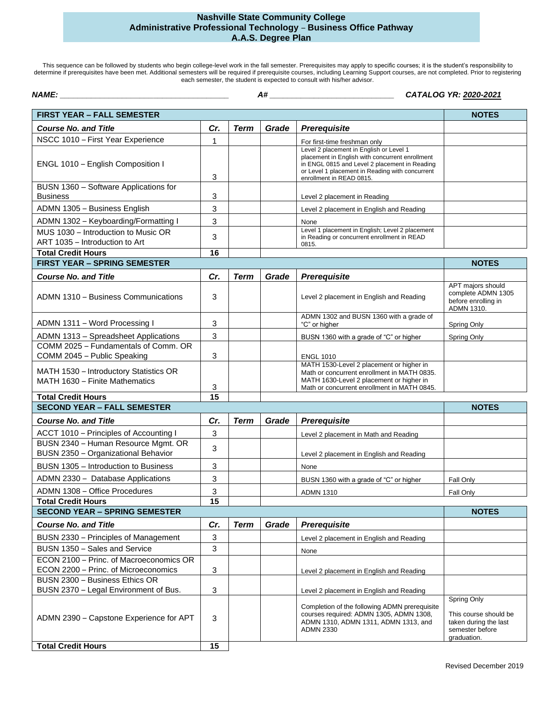## **Nashville State Community College Administrative Professional Technology** – **Business Office Pathway A.A.S. Degree Plan**

This sequence can be followed by students who begin college-level work in the fall semester. Prerequisites may apply to specific courses; it is the student's responsibility to determine if prerequisites have been met. Additional semesters will be required if prerequisite courses, including Learning Support courses, are not completed. Prior to registering each semester, the student is expected to consult with his/her advisor.

| NAME: A CONTROLLER CONTROLLER CONTROLLER CONTROLLER CONTROLLER CONTROLLER CONTROLLER CONTROLLER CONTROLLER CONTROLLER CONTROLLER CONTROLLER CONTROLLER CONTROLLER CONTROLLER CONTROLLER CONTROLLER CONTROLLER CONTROLLER CONTR |                 |             |       | CATALOG YR: 2020-2021                                                                                                                                                                                                      |                                                                                                 |
|--------------------------------------------------------------------------------------------------------------------------------------------------------------------------------------------------------------------------------|-----------------|-------------|-------|----------------------------------------------------------------------------------------------------------------------------------------------------------------------------------------------------------------------------|-------------------------------------------------------------------------------------------------|
| <b>FIRST YEAR - FALL SEMESTER</b>                                                                                                                                                                                              |                 |             |       |                                                                                                                                                                                                                            | <b>NOTES</b>                                                                                    |
| <b>Course No. and Title</b>                                                                                                                                                                                                    | Cr.             | <b>Term</b> | Grade | Prerequisite                                                                                                                                                                                                               |                                                                                                 |
| NSCC 1010 - First Year Experience                                                                                                                                                                                              | $\mathbf{1}$    |             |       | For first-time freshman only                                                                                                                                                                                               |                                                                                                 |
| ENGL 1010 - English Composition I                                                                                                                                                                                              | 3               |             |       | Level 2 placement in English or Level 1<br>placement in English with concurrent enrollment<br>in ENGL 0815 and Level 2 placement in Reading<br>or Level 1 placement in Reading with concurrent<br>enrollment in READ 0815. |                                                                                                 |
| BUSN 1360 - Software Applications for<br><b>Business</b>                                                                                                                                                                       | 3               |             |       | Level 2 placement in Reading                                                                                                                                                                                               |                                                                                                 |
| ADMN 1305 - Business English                                                                                                                                                                                                   | 3               |             |       | Level 2 placement in English and Reading                                                                                                                                                                                   |                                                                                                 |
| ADMN 1302 - Keyboarding/Formatting I                                                                                                                                                                                           | 3               |             |       | None                                                                                                                                                                                                                       |                                                                                                 |
| MUS 1030 - Introduction to Music OR<br>ART 1035 - Introduction to Art                                                                                                                                                          | 3               |             |       | Level 1 placement in English; Level 2 placement<br>in Reading or concurrent enrollment in READ<br>0815.                                                                                                                    |                                                                                                 |
| <b>Total Credit Hours</b>                                                                                                                                                                                                      | 16              |             |       |                                                                                                                                                                                                                            |                                                                                                 |
| <b>FIRST YEAR - SPRING SEMESTER</b>                                                                                                                                                                                            |                 |             |       |                                                                                                                                                                                                                            | <b>NOTES</b>                                                                                    |
| <b>Course No. and Title</b>                                                                                                                                                                                                    | Cr.             | <b>Term</b> | Grade | Prerequisite                                                                                                                                                                                                               |                                                                                                 |
| ADMN 1310 - Business Communications                                                                                                                                                                                            | 3               |             |       | Level 2 placement in English and Reading                                                                                                                                                                                   | APT majors should<br>complete ADMN 1305<br>before enrolling in<br>ADMN 1310.                    |
| ADMN 1311 - Word Processing I                                                                                                                                                                                                  | 3               |             |       | ADMN 1302 and BUSN 1360 with a grade of<br>"C" or higher                                                                                                                                                                   | Spring Only                                                                                     |
| ADMN 1313 - Spreadsheet Applications                                                                                                                                                                                           | 3               |             |       | BUSN 1360 with a grade of "C" or higher                                                                                                                                                                                    | Spring Only                                                                                     |
| COMM 2025 - Fundamentals of Comm. OR<br>COMM 2045 - Public Speaking                                                                                                                                                            | 3               |             |       | <b>ENGL 1010</b>                                                                                                                                                                                                           |                                                                                                 |
| MATH 1530 - Introductory Statistics OR<br>MATH 1630 - Finite Mathematics                                                                                                                                                       | 3               |             |       | MATH 1530-Level 2 placement or higher in<br>Math or concurrent enrollment in MATH 0835.<br>MATH 1630-Level 2 placement or higher in<br>Math or concurrent enrollment in MATH 0845.                                         |                                                                                                 |
| <b>Total Credit Hours</b>                                                                                                                                                                                                      | 15              |             |       |                                                                                                                                                                                                                            |                                                                                                 |
| <b>SECOND YEAR - FALL SEMESTER</b>                                                                                                                                                                                             |                 |             |       |                                                                                                                                                                                                                            | <b>NOTES</b>                                                                                    |
| <b>Course No. and Title</b>                                                                                                                                                                                                    | Cr.             | <b>Term</b> | Grade | Prerequisite                                                                                                                                                                                                               |                                                                                                 |
| ACCT 1010 - Principles of Accounting I                                                                                                                                                                                         | 3               |             |       | Level 2 placement in Math and Reading                                                                                                                                                                                      |                                                                                                 |
| BUSN 2340 - Human Resource Mgmt. OR<br>BUSN 2350 - Organizational Behavior                                                                                                                                                     | 3               |             |       | Level 2 placement in English and Reading                                                                                                                                                                                   |                                                                                                 |
| BUSN 1305 - Introduction to Business                                                                                                                                                                                           | 3               |             |       | None                                                                                                                                                                                                                       |                                                                                                 |
| ADMN 2330 - Database Applications                                                                                                                                                                                              | 3               |             |       | BUSN 1360 with a grade of "C" or higher                                                                                                                                                                                    | Fall Only                                                                                       |
| ADMN 1308 - Office Procedures                                                                                                                                                                                                  | 3               |             |       | <b>ADMN 1310</b>                                                                                                                                                                                                           | Fall Only                                                                                       |
| <b>Total Credit Hours</b>                                                                                                                                                                                                      | $\overline{15}$ |             |       |                                                                                                                                                                                                                            |                                                                                                 |
| <b>SECOND YEAR - SPRING SEMESTER</b>                                                                                                                                                                                           |                 |             |       |                                                                                                                                                                                                                            | <b>NOTES</b>                                                                                    |
| <b>Course No. and Title</b>                                                                                                                                                                                                    | Cr.             | <b>Term</b> | Grade | Prerequisite                                                                                                                                                                                                               |                                                                                                 |
| BUSN 2330 - Principles of Management                                                                                                                                                                                           | 3               |             |       | Level 2 placement in English and Reading                                                                                                                                                                                   |                                                                                                 |
| BUSN 1350 - Sales and Service                                                                                                                                                                                                  | 3               |             |       | None                                                                                                                                                                                                                       |                                                                                                 |
| ECON 2100 - Princ. of Macroeconomics OR<br>ECON 2200 - Princ. of Microeconomics                                                                                                                                                | 3               |             |       | Level 2 placement in English and Reading                                                                                                                                                                                   |                                                                                                 |
| BUSN 2300 - Business Ethics OR                                                                                                                                                                                                 |                 |             |       |                                                                                                                                                                                                                            |                                                                                                 |
| BUSN 2370 - Legal Environment of Bus.                                                                                                                                                                                          | 3               |             |       | Level 2 placement in English and Reading                                                                                                                                                                                   |                                                                                                 |
| ADMN 2390 - Capstone Experience for APT                                                                                                                                                                                        | 3               |             |       | Completion of the following ADMN prerequisite<br>courses required: ADMN 1305, ADMN 1308,<br>ADMN 1310, ADMN 1311, ADMN 1313, and<br><b>ADMN 2330</b>                                                                       | Spring Only<br>This course should be<br>taken during the last<br>semester before<br>graduation. |
| <b>Total Credit Hours</b>                                                                                                                                                                                                      | 15              |             |       |                                                                                                                                                                                                                            |                                                                                                 |